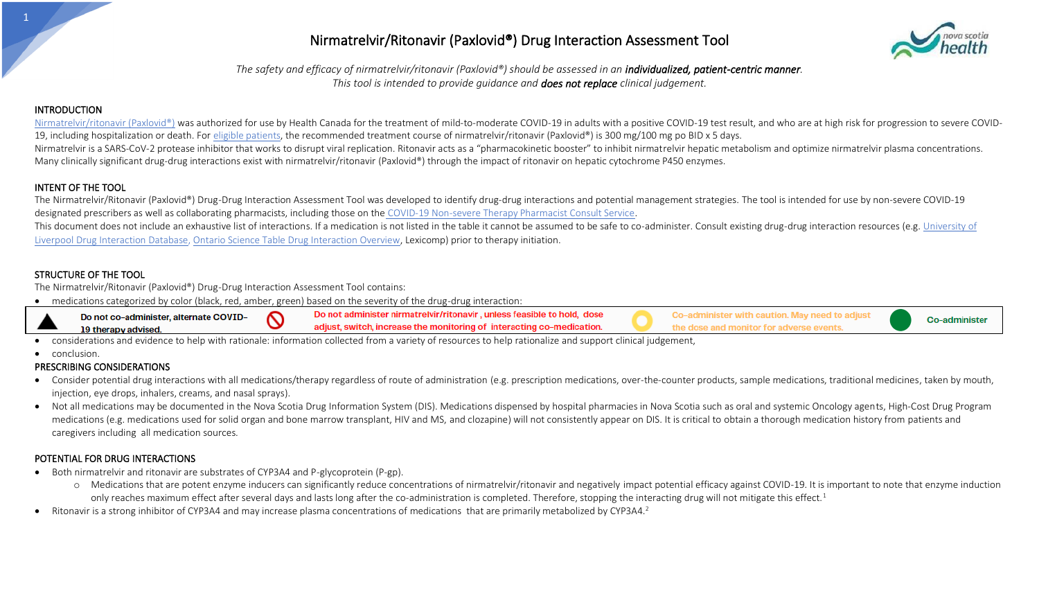*The safety and efficacy of nirmatrelvir/ritonavir (Paxlovid®) should be assessed in an individualized, patient-centric manner. This tool is intended to provide guidance and does not replace clinical judgement.*

#### **INTRODUCTION**

[Nirmatrelvir/ritonavir \(Paxlovid®\)](http://policy.nshealth.ca/Site_Published/covid19/document_render.aspx?documentRender.IdType=6&documentRender.GenericField=&documentRender.Id=93136) was authorized for use by Health Canada for the treatment of mild-to-moderate COVID-19 in adults with a positive COVID-19 test result, and who are at high risk for progression to severe C 19, including hospitalization or death. Fo[r eligible patients,](http://policy.nshealth.ca/Site_Published/covid19/document_render.aspx?documentRender.IdType=6&documentRender.GenericField=&documentRender.Id=93178) the recommended treatment course of nirmatrelvir/ritonavir (Paxlovid®) is 300 mg/100 mg po BID x 5 days. Nirmatrelvir is a SARS-CoV-2 protease inhibitor that works to disrupt viral replication. Ritonavir acts as a "pharmacokinetic booster" to inhibit nirmatrelvir hepatic metabolism and optimize nirmatrelvir plasma concentrati Many clinically significant drug-drug interactions exist with nirmatrelvir/ritonavir (Paxlovid®) through the impact of ritonavir on hepatic cytochrome P450 enzymes.

#### INTENT OF THE TOOL

The Nirmatrelvir/Ritonavir (Paxlovid®) Drug-Drug Interaction Assessment Tool was developed to identify drug-drug interactions and potential management strategies. The tool is intended for use by non-severe COVID-19 designated prescribers as well as collaborating pharmacists, including those on the [COVID-19 Non-severe Therapy Pharmacist Consult Service.](http://policy.nshealth.ca/Site_Published/covid19/document_render.aspx?documentRender.IdType=6&documentRender.GenericField=&documentRender.Id=93864)

This document does not include an exhaustive list of interactions. If a medication is not listed in the table it cannot be assumed to be safe to co-administer. Consult existing drug-drug interaction resources (e.g. Univers Liverpool [Drug Interaction](https://www.covid19-druginteractions.org/checker) Database[, Ontario Science Table Drug Interaction Overview,](https://covid19-sciencetable.ca/sciencebrief/nirmatrelvir-ritonavir-paxlovid-what-prescribers-and-pharmacists-need-to-know-2-0/) Lexicomp) prior to therapy initiation.

#### STRUCTURE OF THE TOOL

The Nirmatrelvir/Ritonavir (Paxlovid®) Drug-Drug Interaction Assessment Tool contains:

• medications categorized by color (black, red, amber, green) based on the severity of the drug-drug interaction:



• considerations and evidence to help with rationale: information collected from a variety of resources to help rationalize and support clinical judgement,

• conclusion.

#### PRESCRIBING CONSIDERATIONS

- Consider potential drug interactions with all medications/therapy regardless of route of administration (e.g. prescription medications, over-the-counter products, sample medications, traditional medicines, taken by mouth, injection, eye drops, inhalers, creams, and nasal sprays).
- Not all medications may be documented in the Nova Scotia Drug Information System (DIS). Medications dispensed by hospital pharmacies in Nova Scotia such as oral and systemic Oncology agents, High-Cost Drug Program medications (e.g. medications used for solid organ and bone marrow transplant, HIV and MS, and clozapine) will not consistently appear on DIS. It is critical to obtain a thorough medication history from patients and caregivers including all medication sources.

#### POTENTIAL FOR DRUG INTERACTIONS

- Both nirmatrelvir and ritonavir are substrates of CYP3A4 and P-glycoprotein (P-gp).
	- o Medications that are potent enzyme inducers can significantly reduce concentrations of nirmatrelvir/ritonavir and negatively impact potential efficacy against COVID-19. It is important to note that enzyme induction only reaches maximum effect after several days and lasts long after the co-administration is completed. Therefore, stopping the interacting drug will not mitigate this effect.<sup>1</sup>
- Ritonavir is a strong inhibitor of CYP3A4 and may increase plasma concentrations of medications that are primarily metabolized by CYP3A4.<sup>2</sup>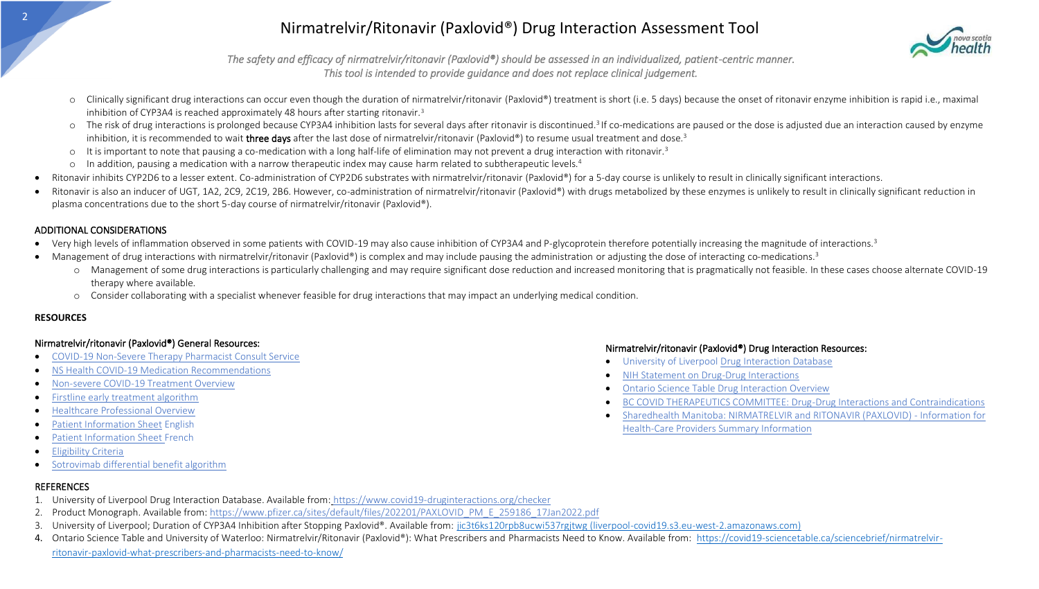

*The safety and efficacy of nirmatrelvir/ritonavir (Paxlovid®) should be assessed in an individualized, patient-centric manner. This tool is intended to provide guidance and does not replace clinical judgement.* 

- o Clinically significant drug interactions can occur even though the duration of nirmatrelvir/ritonavir (Paxlovid®) treatment is short (i.e. 5 days) because the onset of ritonavir enzyme inhibition is rapid i.e., maximal inhibition of CYP3A4 is reached approximately 48 hours after starting ritonavir.<sup>3</sup>
- o The risk of drug interactions is prolonged because CYP3A4 inhibition lasts for several days after ritonavir is discontinued.<sup>3</sup> If co-medications are paused or the dose is adjusted due an interaction caused by enzyme inhibition, it is recommended to wait three days after the last dose of nirmatrelvir/ritonavir (Paxlovid®) to resume usual treatment and dose.<sup>3</sup>
- $\circ$  It is important to note that pausing a co-medication with a long half-life of elimination may not prevent a drug interaction with ritonavir.<sup>3</sup>
- o In addition, pausing a medication with a narrow therapeutic index may cause harm related to subtherapeutic levels.<sup>4</sup>
- Ritonavir inhibits CYP2D6 to a lesser extent. Co-administration of CYP2D6 substrates with nirmatrelvir/ritonavir (Paxlovid®) for a 5-day course is unlikely to result in clinically significant interactions.
- Ritonavir is also an inducer of UGT, 1A2, 2C9, 2C19, 2B6. However, co-administration of nirmatrelvir/ritonavir (Paxlovid®) with drugs metabolized by these enzymes is unlikely to result in clinically significant reduction plasma concentrations due to the short 5-day course of nirmatrelvir/ritonavir (Paxlovid®).

#### ADDITIONAL CONSIDERATIONS

- Very high levels of inflammation observed in some patients with COVID-19 may also cause inhibition of CYP3A4 and P-glycoprotein therefore potentially increasing the magnitude of interactions.<sup>3</sup>
- Management of drug interactions with nirmatrelvir/ritonavir (Paxlovid®) is complex and may include pausing the administration or adjusting the dose of interacting co-medications.<sup>3</sup>
	- o Management of some drug interactions is particularly challenging and may require significant dose reduction and increased monitoring that is pragmatically not feasible. In these cases choose alternate COVID-19 therapy where available.
	- o Consider collaborating with a specialist whenever feasible for drug interactions that may impact an underlying medical condition.

#### **RESOURCES**

#### Nirmatrelvir/ritonavir (Paxlovid®) General Resources:

- [COVID-19 Non-Severe Therapy Pharmacist Consult Service](http://policy.nshealth.ca/Site_Published/covid19/document_render.aspx?documentRender.IdType=6&documentRender.GenericField=&documentRender.Id=93864)
- [NS Health COVID-19 Medication Recommendations](https://covid19hub.nshealth.ca/go.php?c=35813131)
- [Non-severe COVID-19 Treatment Overview](https://covid19hub.nshealth.ca/go.php?c=36205671)
- [Firstline early treatment algorithm](https://app.firstline.org/en/clients/78-nova-scotia-health-authority/steps/62487)
- [Healthcare Professional Overview](http://policy.nshealth.ca/Site_Published/covid19/document_render.aspx?documentRender.IdType=6&documentRender.GenericField=&documentRender.Id=93136)
- [Patient Information Sheet](http://policy.nshealth.ca/Site_Published/covid19/document_render.aspx?documentRender.IdType=6&documentRender.GenericField=&documentRender.Id=93138) English
- [Patient Information Sheet F](http://policy.nshealth.ca/Site_Published/covid19/document_render.aspx?documentRender.IdType=6&documentRender.GenericField=&documentRender.Id=93174)rench
- **Eligibility Criteria**
- [Sotrovimab differential benefit algorithm](https://covid19hub.nshealth.ca/go.php?c=36288146)

#### l, REFERENCES

- 1. University of Liverpool Drug Interaction Database. Available from: https://www.covid19-druginteractions.org/checker
- 2. Product Monograph. Available from: https://www.pfizer.ca/sites/default/files/202201/PAXLOVID\_PM\_E\_259186\_17Jan2022.pdf
- 3. University of Liverpool; Duration of CYP3A4 Inhibition after Stopping Paxlovid®. Available from: jic3t6ks120rpb8ucwi537rgjtwg (liverpool-covid19.s3.eu-west-2.amazonaws.com)
- ritonavir-paxlovid-what-prescribers-and-pharmacists-need-to-know/ 4. Ontario Science Table and University of Waterloo: Nirmatrelvir/Ritonavir (Paxlovid®): What Prescribers and Pharmacists Need to Know. Available from: https://covid19-sciencetable.ca/sciencebrief/nirmatrelvir-

#### Nirmatrelvir/ritonavir (Paxlovid®) Drug Interaction Resources:

- University of Liverpool Drug Interaction Database
- NIH Statement on Drug-Drug Interactions
- Ontario Science Table Drug Interaction Overview
- BC COVID THERAPEUTICS COMMITTEE: Drug-Drug Interactions and Contraindications
- Sharedhealth Manitoba: NIRMATRELVIR and RITONAVIR (PAXLOVID) Information for Health-Care Providers Summary Information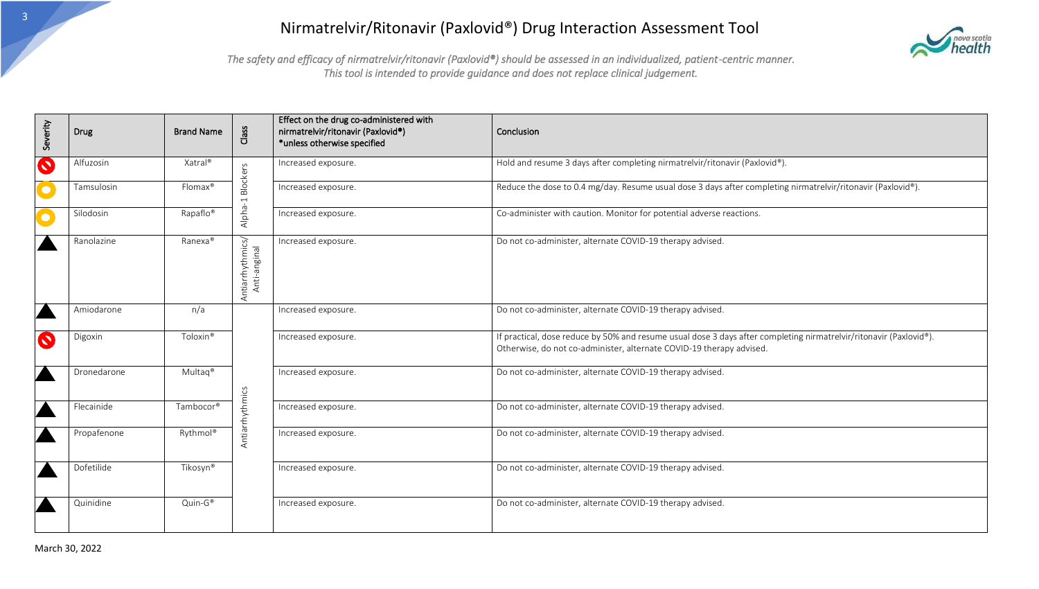

| Severity  | Drug        | <b>Brand Name</b>   | Class                            | Effect on the drug co-administered with<br>nirmatrelvir/ritonavir (Paxlovid®)<br>*unless otherwise specified | Conclusion                                                                                                                                                                                 |
|-----------|-------------|---------------------|----------------------------------|--------------------------------------------------------------------------------------------------------------|--------------------------------------------------------------------------------------------------------------------------------------------------------------------------------------------|
| $\bullet$ | Alfuzosin   | Xatral®             | <b>Blockers</b>                  | Increased exposure.                                                                                          | Hold and resume 3 days after completing nirmatrelvir/ritonavir (Paxlovid®).                                                                                                                |
|           | Tamsulosin  | Flomax®             |                                  | Increased exposure.                                                                                          | Reduce the dose to 0.4 mg/day. Resume usual dose 3 days after completing nirmatrelvir/ritonavir (Paxlovid®).                                                                               |
|           | Silodosin   | Rapaflo®            | Alpha-1                          | Increased exposure.                                                                                          | Co-administer with caution. Monitor for potential adverse reactions.                                                                                                                       |
|           | Ranolazine  | Ranexa®             | Antiarrhythmics/<br>Anti-anginal | Increased exposure.                                                                                          | Do not co-administer, alternate COVID-19 therapy advised.                                                                                                                                  |
|           | Amiodarone  | n/a                 |                                  | Increased exposure.                                                                                          | Do not co-administer, alternate COVID-19 therapy advised.                                                                                                                                  |
| $\bullet$ | Digoxin     | Toloxin®            |                                  | Increased exposure.                                                                                          | If practical, dose reduce by 50% and resume usual dose 3 days after completing nirmatrelvir/ritonavir (Paxlovid®).<br>Otherwise, do not co-administer, alternate COVID-19 therapy advised. |
|           | Dronedarone | Multag <sup>®</sup> |                                  | Increased exposure.                                                                                          | Do not co-administer, alternate COVID-19 therapy advised.                                                                                                                                  |
|           | Flecainide  | Tambocor®           | Antiarrhythmics                  | Increased exposure.                                                                                          | Do not co-administer, alternate COVID-19 therapy advised.                                                                                                                                  |
|           | Propafenone | Rythmol®            |                                  | Increased exposure.                                                                                          | Do not co-administer, alternate COVID-19 therapy advised.                                                                                                                                  |
|           | Dofetilide  | Tikosyn®            |                                  | Increased exposure.                                                                                          | Do not co-administer, alternate COVID-19 therapy advised.                                                                                                                                  |
|           | Quinidine   | $Quin-G^*$          |                                  | Increased exposure.                                                                                          | Do not co-administer, alternate COVID-19 therapy advised.                                                                                                                                  |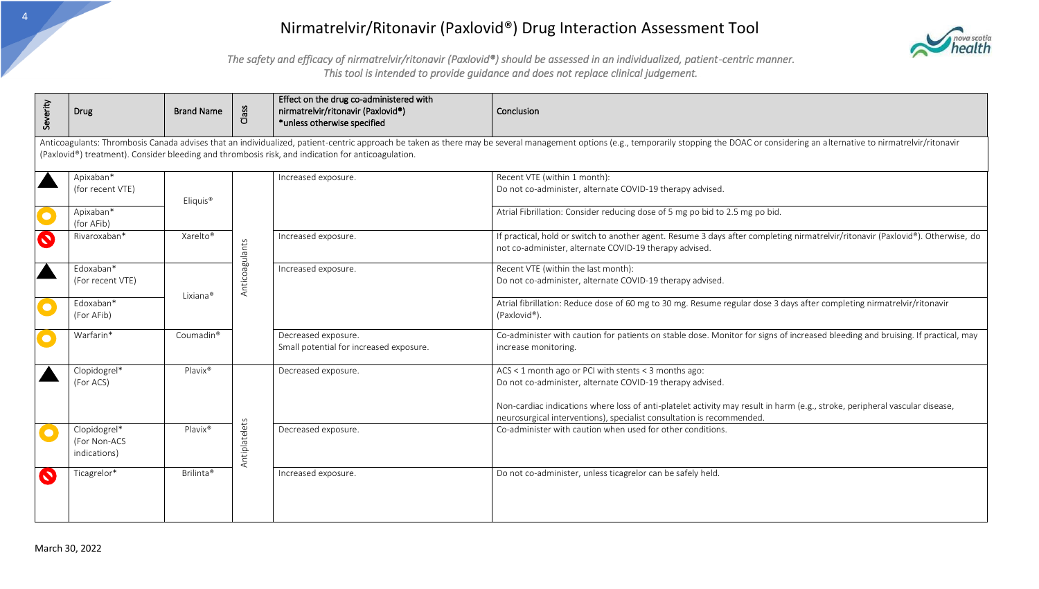

| Severity  | Drug                                                                                                                                                                                                                                                                                                                                 | <b>Brand Name</b>     | Class          | Effect on the drug co-administered with<br>nirmatrelvir/ritonavir (Paxlovid®)<br>*unless otherwise specified | Conclusion                                                                                                                                                                                                                                                                                                                |  |  |  |  |
|-----------|--------------------------------------------------------------------------------------------------------------------------------------------------------------------------------------------------------------------------------------------------------------------------------------------------------------------------------------|-----------------------|----------------|--------------------------------------------------------------------------------------------------------------|---------------------------------------------------------------------------------------------------------------------------------------------------------------------------------------------------------------------------------------------------------------------------------------------------------------------------|--|--|--|--|
|           | Anticoagulants: Thrombosis Canada advises that an individualized, patient-centric approach be taken as there may be several management options (e.g., temporarily stopping the DOAC or considering an alternative to nirmatrel<br>(Paxlovid®) treatment). Consider bleeding and thrombosis risk, and indication for anticoagulation. |                       |                |                                                                                                              |                                                                                                                                                                                                                                                                                                                           |  |  |  |  |
|           | Apixaban*<br>(for recent VTE)                                                                                                                                                                                                                                                                                                        | Eliquis <sup>®</sup>  |                | Increased exposure.                                                                                          | Recent VTE (within 1 month):<br>Do not co-administer, alternate COVID-19 therapy advised.                                                                                                                                                                                                                                 |  |  |  |  |
| $\bullet$ | Apixaban*<br>(for AFib)                                                                                                                                                                                                                                                                                                              |                       |                |                                                                                                              | Atrial Fibrillation: Consider reducing dose of 5 mg po bid to 2.5 mg po bid.                                                                                                                                                                                                                                              |  |  |  |  |
| $\bullet$ | Rivaroxaban*                                                                                                                                                                                                                                                                                                                         | Xarelto <sup>®</sup>  |                | Increased exposure.                                                                                          | If practical, hold or switch to another agent. Resume 3 days after completing nirmatrelvir/ritonavir (Paxlovid®). Otherwise, do<br>not co-administer, alternate COVID-19 therapy advised.                                                                                                                                 |  |  |  |  |
|           | Edoxaban*<br>(For recent VTE)                                                                                                                                                                                                                                                                                                        | Lixiana®              | Anticoagulants | Increased exposure.                                                                                          | Recent VTE (within the last month):<br>Do not co-administer, alternate COVID-19 therapy advised                                                                                                                                                                                                                           |  |  |  |  |
| $\bullet$ | Edoxaban*<br>(For AFib)                                                                                                                                                                                                                                                                                                              |                       |                |                                                                                                              | Atrial fibrillation: Reduce dose of 60 mg to 30 mg. Resume regular dose 3 days after completing nirmatrelvir/ritonavir<br>(Paxlovid®).                                                                                                                                                                                    |  |  |  |  |
| $\bullet$ | Warfarin*                                                                                                                                                                                                                                                                                                                            | Coumadin <sup>®</sup> |                | Decreased exposure.<br>Small potential for increased exposure.                                               | Co-administer with caution for patients on stable dose. Monitor for signs of increased bleeding and bruising. If practical, may<br>increase monitoring.                                                                                                                                                                   |  |  |  |  |
|           | Clopidogrel*<br>(For ACS)                                                                                                                                                                                                                                                                                                            | Plavix®               |                | Decreased exposure.                                                                                          | ACS < 1 month ago or PCI with stents < 3 months ago:<br>Do not co-administer, alternate COVID-19 therapy advised.<br>Non-cardiac indications where loss of anti-platelet activity may result in harm (e.g., stroke, peripheral vascular disease,<br>neurosurgical interventions), specialist consultation is recommended. |  |  |  |  |
| $\bullet$ | Clopidogrel*<br>(For Non-ACS<br>indications)                                                                                                                                                                                                                                                                                         | Plavix®               | Antiplatelets  | Decreased exposure.                                                                                          | Co-administer with caution when used for other conditions.                                                                                                                                                                                                                                                                |  |  |  |  |
| $\bullet$ | Ticagrelor*                                                                                                                                                                                                                                                                                                                          | Brilinta <sup>®</sup> |                | Increased exposure.                                                                                          | Do not co-administer, unless ticagrelor can be safely held.                                                                                                                                                                                                                                                               |  |  |  |  |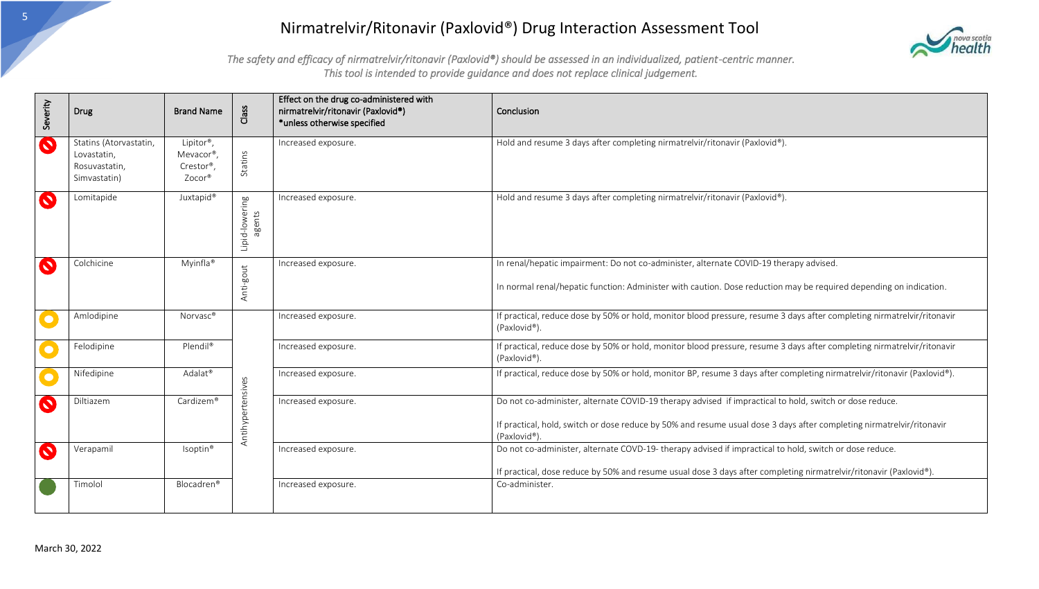

| Severity                | <b>Drug</b>                                                            | <b>Brand Name</b>                                         | Class                    | Effect on the drug co-administered with<br>nirmatrelvir/ritonavir (Paxlovid®)<br>*unless otherwise specified | Conclusion                                                                                                                                                                                                                                       |
|-------------------------|------------------------------------------------------------------------|-----------------------------------------------------------|--------------------------|--------------------------------------------------------------------------------------------------------------|--------------------------------------------------------------------------------------------------------------------------------------------------------------------------------------------------------------------------------------------------|
| $\bullet$               | Statins (Atorvastatin,<br>Lovastatin,<br>Rosuvastatin,<br>Simvastatin) | Lipitor <sup>®</sup> ,<br>Mevacor®,<br>Crestor®<br>Zocor® | Statins                  | Increased exposure.                                                                                          | Hold and resume 3 days after completing nirmatrelvir/ritonavir (Paxlovid®).                                                                                                                                                                      |
| $\bullet$               | Lomitapide                                                             | Juxtapid <sup>®</sup>                                     | Lipid-lowering<br>agents | Increased exposure.                                                                                          | Hold and resume 3 days after completing nirmatrelvir/ritonavir (Paxlovid®).                                                                                                                                                                      |
| $\bullet$               | Colchicine                                                             | Myinfla <sup>®</sup>                                      | Anti-gout                | Increased exposure.                                                                                          | In renal/hepatic impairment: Do not co-administer, alternate COVID-19 therapy advised.<br>In normal renal/hepatic function: Administer with caution. Dose reduction may be required depending on indication.                                     |
| $\overline{\mathbf{C}}$ | Amlodipine                                                             | Norvasc <sup>®</sup>                                      |                          | Increased exposure.                                                                                          | If practical, reduce dose by 50% or hold, monitor blood pressure, resume 3 days after completing nirmatrelvir/ritonavir<br>(Paxlovid®).                                                                                                          |
| $\overline{\mathbf{C}}$ | Felodipine                                                             | Plendil®                                                  |                          | Increased exposure.                                                                                          | If practical, reduce dose by 50% or hold, monitor blood pressure, resume 3 days after completing nirmatrelvir/ritonavir<br>(Paxlovid®).                                                                                                          |
| $\bullet$               | Nifedipine                                                             | Adalat <sup>®</sup>                                       |                          | Increased exposure.                                                                                          | If practical, reduce dose by 50% or hold, monitor BP, resume 3 days after completing nirmatrelvir/ritonavir (Paxlovid®).                                                                                                                         |
| $\bullet$               | Diltiazem                                                              | Cardizem®                                                 | Antihypertensives        | Increased exposure.                                                                                          | Do not co-administer, alternate COVID-19 therapy advised if impractical to hold, switch or dose reduce.<br>If practical, hold, switch or dose reduce by 50% and resume usual dose 3 days after completing nirmatrelvir/ritonavir<br>(Paxlovid®). |
| $\bullet$               | Verapamil                                                              | Isoptin <sup>®</sup>                                      |                          | Increased exposure.                                                                                          | Do not co-administer, alternate COVD-19- therapy advised if impractical to hold, switch or dose reduce.<br>If practical, dose reduce by 50% and resume usual dose 3 days after completing nirmatrelvir/ritonavir (Paxlovid®).                    |
|                         | Timolol                                                                | Blocadren <sup>®</sup>                                    |                          | Increased exposure.                                                                                          | Co-administer.                                                                                                                                                                                                                                   |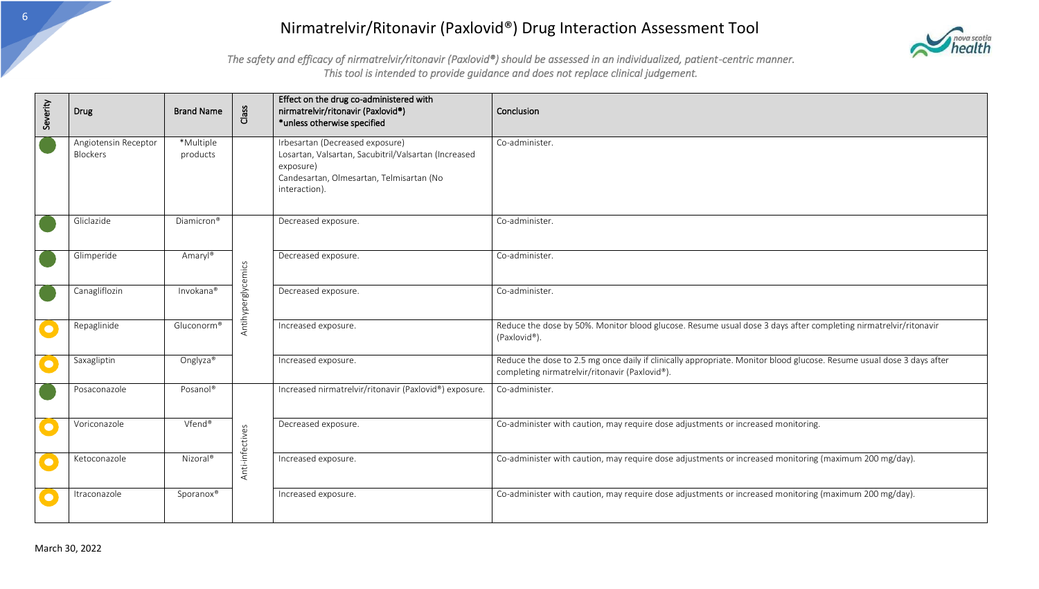

| Severity                | <b>Drug</b>                      | <b>Brand Name</b>      | Class              | Effect on the drug co-administered with<br>nirmatrelvir/ritonavir (Paxlovid®)<br>*unless otherwise specified                                                      | Conclusion                                                                                                                                                              |
|-------------------------|----------------------------------|------------------------|--------------------|-------------------------------------------------------------------------------------------------------------------------------------------------------------------|-------------------------------------------------------------------------------------------------------------------------------------------------------------------------|
|                         | Angiotensin Receptor<br>Blockers | *Multiple<br>products  |                    | Irbesartan (Decreased exposure)<br>Losartan, Valsartan, Sacubitril/Valsartan (Increased<br>exposure)<br>Candesartan, Olmesartan, Telmisartan (No<br>interaction). | Co-administer.                                                                                                                                                          |
|                         | Gliclazide                       | Diamicron <sup>®</sup> |                    | Decreased exposure.                                                                                                                                               | Co-administer.                                                                                                                                                          |
|                         | Glimperide                       | Amaryl®                |                    | Decreased exposure.                                                                                                                                               | Co-administer.                                                                                                                                                          |
|                         | Canagliflozin                    | Invokana®              | Antihyperglycemics | Decreased exposure.                                                                                                                                               | Co-administer.                                                                                                                                                          |
| $\bullet$               | Repaglinide                      | Gluconorm®             |                    | Increased exposure.                                                                                                                                               | Reduce the dose by 50%. Monitor blood glucose. Resume usual dose 3 days after completing nirmatrelvir/ritonavir<br>(Paxlovid®).                                         |
| $\overline{\mathbf{C}}$ | Saxagliptin                      | Onglyza <sup>®</sup>   |                    | Increased exposure.                                                                                                                                               | Reduce the dose to 2.5 mg once daily if clinically appropriate. Monitor blood glucose. Resume usual dose 3 days after<br>completing nirmatrelvir/ritonavir (Paxlovid®). |
|                         | Posaconazole                     | Posanol®               |                    | Increased nirmatrelvir/ritonavir (Paxlovid®) exposure.                                                                                                            | Co-administer.                                                                                                                                                          |
| $\bullet$               | Voriconazole                     | Vfend®                 | Anti-infectives    | Decreased exposure.                                                                                                                                               | Co-administer with caution, may require dose adjustments or increased monitoring.                                                                                       |
| $\overline{\mathbf{C}}$ | Ketoconazole                     | Nizoral <sup>®</sup>   |                    | Increased exposure.                                                                                                                                               | Co-administer with caution, may require dose adjustments or increased monitoring (maximum 200 mg/day).                                                                  |
| $\bullet$               | Itraconazole                     | Sporanox®              |                    | Increased exposure.                                                                                                                                               | Co-administer with caution, may require dose adjustments or increased monitoring (maximum 200 mg/day).                                                                  |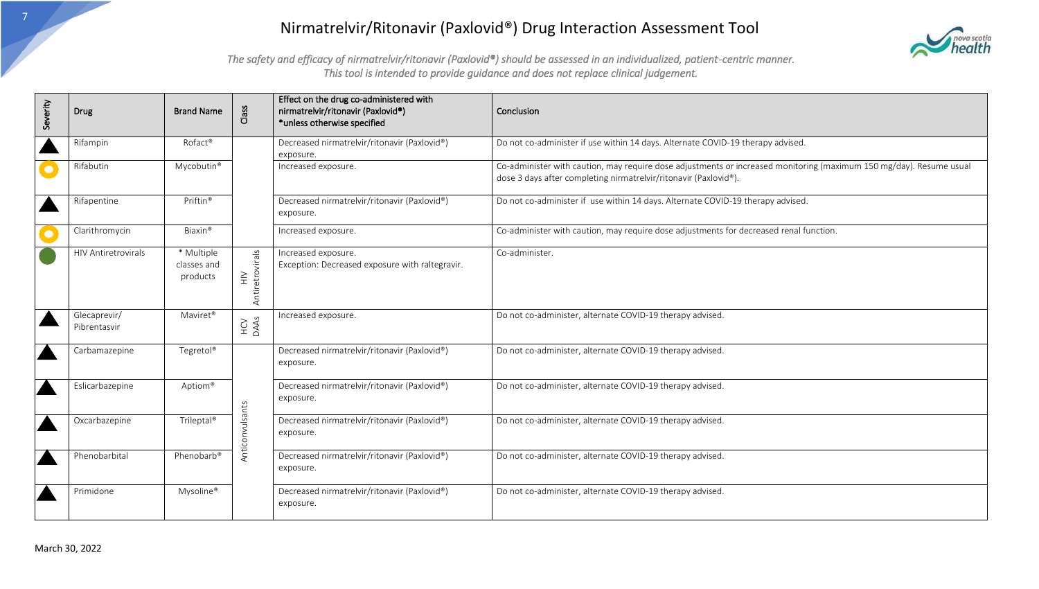

| Severity  | <b>Drug</b>                  | <b>Brand Name</b>                     | Class                                 | Effect on the drug co-administered with<br>nirmatrelvir/ritonavir (Paxlovid®)<br>*unless otherwise specified | Conclusion                                                                                                                                                                              |
|-----------|------------------------------|---------------------------------------|---------------------------------------|--------------------------------------------------------------------------------------------------------------|-----------------------------------------------------------------------------------------------------------------------------------------------------------------------------------------|
|           | Rifampin                     | Rofact <sup>®</sup>                   |                                       | Decreased nirmatrelvir/ritonavir (Paxlovid®)<br>exposure.                                                    | Do not co-administer if use within 14 days. Alternate COVID-19 therapy advised.                                                                                                         |
| $\bullet$ | Rifabutin                    | Mycobutin <sup>®</sup>                |                                       | Increased exposure.                                                                                          | Co-administer with caution, may require dose adjustments or increased monitoring (maximum 150 mg/day). Resume usual<br>dose 3 days after completing nirmatrelvir/ritonavir (Paxlovid®). |
|           | Rifapentine                  | Priftin <sup>®</sup>                  |                                       | Decreased nirmatrelvir/ritonavir (Paxlovid®)<br>exposure.                                                    | Do not co-administer if use within 14 days. Alternate COVID-19 therapy advised.                                                                                                         |
| $\bullet$ | Clarithromycin               | Biaxin <sup>®</sup>                   |                                       | Increased exposure.                                                                                          | Co-administer with caution, may require dose adjustments for decreased renal function.                                                                                                  |
|           | <b>HIV Antiretrovirals</b>   | * Multiple<br>classes and<br>products | Antiretrovirals<br>$\geq$<br>$\equiv$ | Increased exposure.<br>Exception: Decreased exposure with raltegravir.                                       | Co-administer.                                                                                                                                                                          |
|           | Glecaprevir/<br>Pibrentasvir | Maviret <sup>®</sup>                  | HCV<br>DAAs                           | Increased exposure.                                                                                          | Do not co-administer, alternate COVID-19 therapy advised.                                                                                                                               |
|           | Carbamazepine                | Tegretol®                             |                                       | Decreased nirmatrelvir/ritonavir (Paxlovid®)<br>exposure.                                                    | Do not co-administer, alternate COVID-19 therapy advised.                                                                                                                               |
|           | Eslicarbazepine              | Aptiom®                               |                                       | Decreased nirmatrelvir/ritonavir (Paxlovid®)<br>exposure.                                                    | Do not co-administer, alternate COVID-19 therapy advised.                                                                                                                               |
|           | Oxcarbazepine                | Trileptal®                            | Anticonvulsants                       | Decreased nirmatrelvir/ritonavir (Paxlovid®)<br>exposure.                                                    | Do not co-administer, alternate COVID-19 therapy advised.                                                                                                                               |
|           | Phenobarbital                | Phenobarb®                            |                                       | Decreased nirmatrelvir/ritonavir (Paxlovid®)<br>exposure.                                                    | Do not co-administer, alternate COVID-19 therapy advised.                                                                                                                               |
|           | Primidone                    | Mysoline®                             |                                       | Decreased nirmatrelvir/ritonavir (Paxlovid®)<br>exposure.                                                    | Do not co-administer, alternate COVID-19 therapy advised.                                                                                                                               |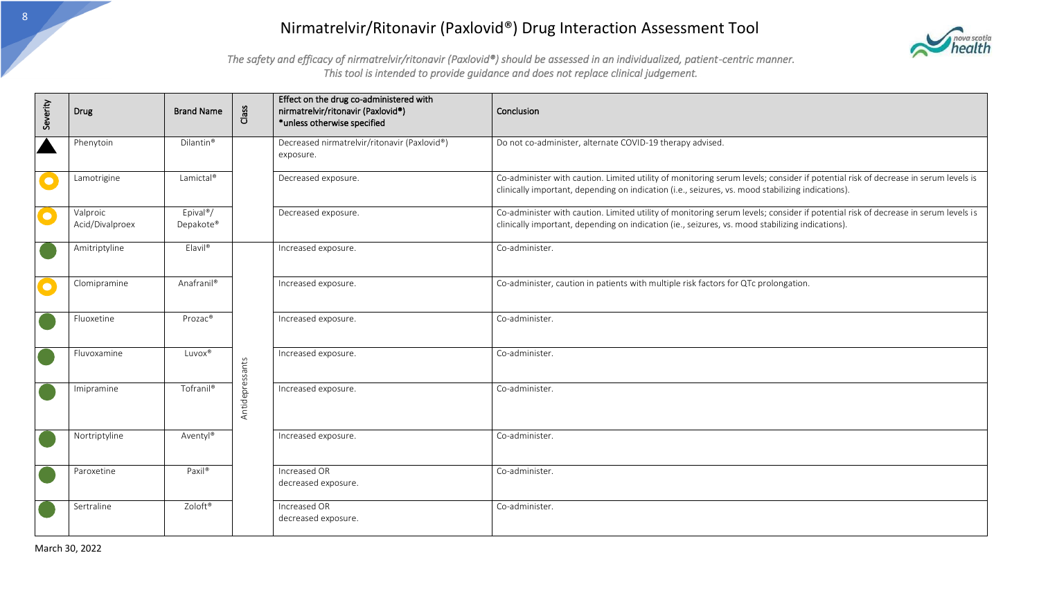

| Severity         | Drug                        | <b>Brand Name</b>                  | Class           | Effect on the drug co-administered with<br>nirmatrelvir/ritonavir (Paxlovid®)<br>*unless otherwise specified | Conclusion                                                                                                                                                                                                                             |
|------------------|-----------------------------|------------------------------------|-----------------|--------------------------------------------------------------------------------------------------------------|----------------------------------------------------------------------------------------------------------------------------------------------------------------------------------------------------------------------------------------|
| $\blacktriangle$ | Phenytoin                   | Dilantin <sup>®</sup>              |                 | Decreased nirmatrelvir/ritonavir (Paxlovid®)<br>exposure.                                                    | Do not co-administer, alternate COVID-19 therapy advised.                                                                                                                                                                              |
| $\bullet$        | Lamotrigine                 | Lamictal®                          |                 | Decreased exposure.                                                                                          | Co-administer with caution. Limited utility of monitoring serum levels; consider if potential risk of decrease in serum levels is<br>clinically important, depending on indication (i.e., seizures, vs. mood stabilizing indications). |
| $\bullet$        | Valproic<br>Acid/Divalproex | Epival <sup>®</sup> /<br>Depakote® |                 | Decreased exposure.                                                                                          | Co-administer with caution. Limited utility of monitoring serum levels; consider if potential risk of decrease in serum levels is<br>clinically important, depending on indication (ie., seizures, vs. mood stabilizing indications).  |
|                  | Amitriptyline               | Elavil <sup>®</sup>                |                 | Increased exposure.                                                                                          | Co-administer.                                                                                                                                                                                                                         |
| $\bullet$        | Clomipramine                | Anafranil®                         |                 | Increased exposure.                                                                                          | Co-administer, caution in patients with multiple risk factors for QTc prolongation.                                                                                                                                                    |
|                  | Fluoxetine                  | Prozac®                            |                 | Increased exposure.                                                                                          | Co-administer.                                                                                                                                                                                                                         |
|                  | Fluvoxamine                 | Luvox®                             |                 | Increased exposure.                                                                                          | Co-administer.                                                                                                                                                                                                                         |
|                  | Imipramine                  | Tofranil®                          | Antidepressants | Increased exposure.                                                                                          | Co-administer.                                                                                                                                                                                                                         |
|                  | Nortriptyline               | Aventyl®                           |                 | Increased exposure.                                                                                          | Co-administer.                                                                                                                                                                                                                         |
|                  | Paroxetine                  | Paxil®                             |                 | Increased OR<br>decreased exposure.                                                                          | Co-administer.                                                                                                                                                                                                                         |
|                  | Sertraline                  | Zoloft®                            |                 | Increased OR<br>decreased exposure.                                                                          | Co-administer.                                                                                                                                                                                                                         |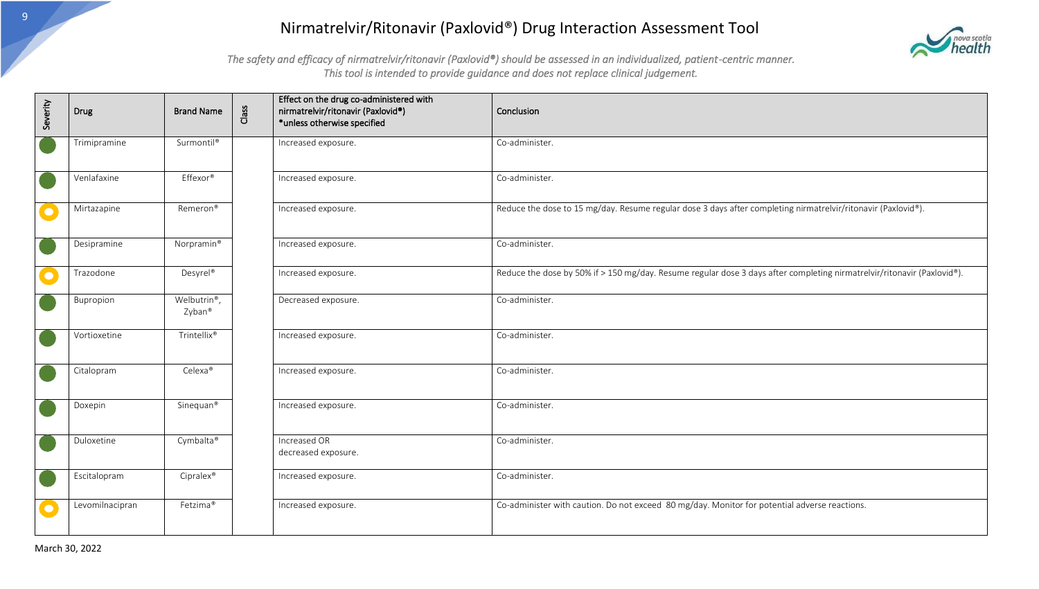

| Severity  | Drug            | <b>Brand Name</b>      | Class | Effect on the drug co-administered with<br>nirmatrelvir/ritonavir (Paxlovid®)<br>*unless otherwise specified | Conclusion                                                                                                              |
|-----------|-----------------|------------------------|-------|--------------------------------------------------------------------------------------------------------------|-------------------------------------------------------------------------------------------------------------------------|
|           | Trimipramine    | Surmontil®             |       | Increased exposure.                                                                                          | Co-administer.                                                                                                          |
|           | Venlafaxine     | Effexor®               |       | Increased exposure.                                                                                          | Co-administer.                                                                                                          |
| $\bullet$ | Mirtazapine     | Remeron <sup>®</sup>   |       | Increased exposure.                                                                                          | Reduce the dose to 15 mg/day. Resume regular dose 3 days after completing nirmatrelvir/ritonavir (Paxlovid®).           |
|           | Desipramine     | Norpramin <sup>®</sup> |       | Increased exposure.                                                                                          | Co-administer.                                                                                                          |
| $\bullet$ | Trazodone       | Desyrel <sup>®</sup>   |       | Increased exposure.                                                                                          | Reduce the dose by 50% if > 150 mg/day. Resume regular dose 3 days after completing nirmatrelvir/ritonavir (Paxlovid®). |
|           | Bupropion       | Welbutrin®,<br>Zyban®  |       | Decreased exposure.                                                                                          | Co-administer.                                                                                                          |
|           | Vortioxetine    | Trintellix®            |       | Increased exposure.                                                                                          | Co-administer.                                                                                                          |
|           | Citalopram      | Celexa <sup>®</sup>    |       | Increased exposure.                                                                                          | Co-administer.                                                                                                          |
|           | Doxepin         | Sinequan®              |       | Increased exposure.                                                                                          | Co-administer.                                                                                                          |
|           | Duloxetine      | Cymbalta®              |       | Increased OR<br>decreased exposure.                                                                          | Co-administer.                                                                                                          |
|           | Escitalopram    | Cipralex <sup>®</sup>  |       | Increased exposure.                                                                                          | Co-administer.                                                                                                          |
| $\bullet$ | Levomilnacipran | Fetzima <sup>®</sup>   |       | Increased exposure.                                                                                          | Co-administer with caution. Do not exceed 80 mg/day. Monitor for potential adverse reactions.                           |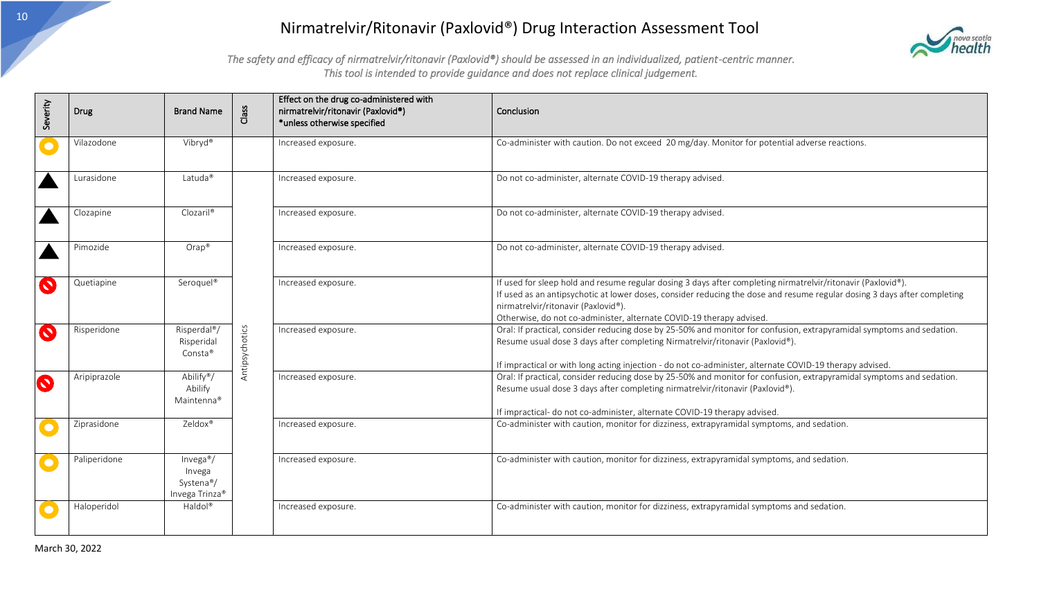

| Severity  | Drug         | <b>Brand Name</b>                                                           | Class          | Effect on the drug co-administered with<br>nirmatrelvir/ritonavir (Paxlovid®)<br>*unless otherwise specified | Conclusion                                                                                                                                                                                                                                                                                                                                              |
|-----------|--------------|-----------------------------------------------------------------------------|----------------|--------------------------------------------------------------------------------------------------------------|---------------------------------------------------------------------------------------------------------------------------------------------------------------------------------------------------------------------------------------------------------------------------------------------------------------------------------------------------------|
|           | Vilazodone   | Vibryd®                                                                     |                | Increased exposure.                                                                                          | Co-administer with caution. Do not exceed 20 mg/day. Monitor for potential adverse reactions.                                                                                                                                                                                                                                                           |
|           | Lurasidone   | Latuda <sup>®</sup>                                                         |                | Increased exposure.                                                                                          | Do not co-administer, alternate COVID-19 therapy advised.                                                                                                                                                                                                                                                                                               |
|           | Clozapine    | Clozaril <sup>®</sup>                                                       |                | Increased exposure.                                                                                          | Do not co-administer, alternate COVID-19 therapy advised.                                                                                                                                                                                                                                                                                               |
|           | Pimozide     | $Orap^*$                                                                    |                | Increased exposure.                                                                                          | Do not co-administer, alternate COVID-19 therapy advised.                                                                                                                                                                                                                                                                                               |
| $\bullet$ | Quetiapine   | Seroquel®                                                                   |                | Increased exposure.                                                                                          | If used for sleep hold and resume regular dosing 3 days after completing nirmatrelvir/ritonavir (Paxlovid®).<br>If used as an antipsychotic at lower doses, consider reducing the dose and resume regular dosing 3 days after completing<br>nirmatrelvir/ritonavir (Paxlovid®).<br>Otherwise, do not co-administer, alternate COVID-19 therapy advised. |
| $\bullet$ | Risperidone  | Risperdal <sup>®</sup> /<br>Risperidal<br>Consta®                           | Antipsychotics | Increased exposure.                                                                                          | Oral: If practical, consider reducing dose by 25-50% and monitor for confusion, extrapyramidal symptoms and sedation.<br>Resume usual dose 3 days after completing Nirmatrelvir/ritonavir (Paxlovid®).<br>If impractical or with long acting injection - do not co-administer, alternate COVID-19 therapy advised.                                      |
| $\bullet$ | Aripiprazole | Abilify <sup>®</sup> /<br>Abilify<br>Maintenna®                             |                | Increased exposure.                                                                                          | Oral: If practical, consider reducing dose by 25-50% and monitor for confusion, extrapyramidal symptoms and sedation.<br>Resume usual dose 3 days after completing nirmatrelvir/ritonavir (Paxlovid®).<br>If impractical- do not co-administer, alternate COVID-19 therapy advised.                                                                     |
| $\bullet$ | Ziprasidone  | Zeldox®                                                                     |                | Increased exposure.                                                                                          | Co-administer with caution, monitor for dizziness, extrapyramidal symptoms, and sedation.                                                                                                                                                                                                                                                               |
| $\bullet$ | Paliperidone | Invega <sup>®</sup> /<br>Invega<br>Systena <sup>®</sup> /<br>Invega Trinza® |                | Increased exposure.                                                                                          | Co-administer with caution, monitor for dizziness, extrapyramidal symptoms, and sedation.                                                                                                                                                                                                                                                               |
| $\bullet$ | Haloperidol  | Haldol®                                                                     |                | Increased exposure.                                                                                          | Co-administer with caution, monitor for dizziness, extrapyramidal symptoms and sedation.                                                                                                                                                                                                                                                                |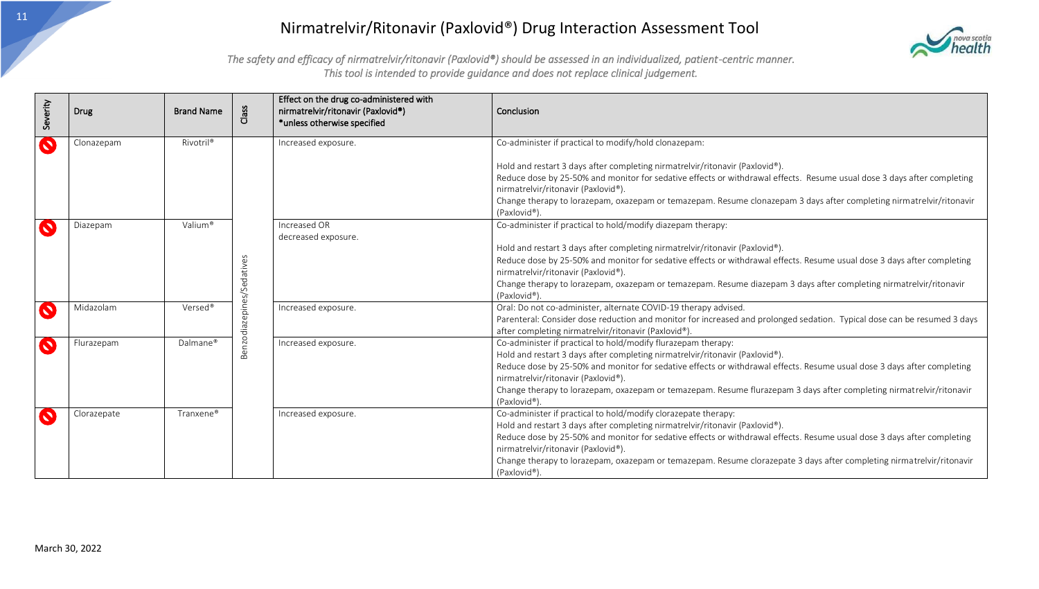

| Severity  | <b>Drug</b> | <b>Brand Name</b>     | Class           | Effect on the drug co-administered with<br>nirmatrelvir/ritonavir (Paxlovid®)<br>*unless otherwise specified       | Conclusion                                                                                                                                                                       |
|-----------|-------------|-----------------------|-----------------|--------------------------------------------------------------------------------------------------------------------|----------------------------------------------------------------------------------------------------------------------------------------------------------------------------------|
| $\bullet$ | Clonazepam  | Rivotril®             |                 | Increased exposure.                                                                                                | Co-administer if practical to modify/hold clonazepam:                                                                                                                            |
|           |             |                       |                 |                                                                                                                    | Hold and restart 3 days after completing nirmatrelvir/ritonavir (Paxlovid®).                                                                                                     |
|           |             |                       |                 |                                                                                                                    | Reduce dose by 25-50% and monitor for sedative effects or withdrawal effects. Resume usual dose 3 days after completing                                                          |
|           |             |                       |                 |                                                                                                                    | nirmatrelvir/ritonavir (Paxlovid®).                                                                                                                                              |
|           |             |                       |                 |                                                                                                                    | Change therapy to lorazepam, oxazepam or temazepam. Resume clonazepam 3 days after completing nirmatrelvir/ritonavir<br>(Paxlovid®).                                             |
| $\bullet$ | Diazepam    | Valium®               |                 | Increased OR<br>decreased exposure.                                                                                | Co-administer if practical to hold/modify diazepam therapy:                                                                                                                      |
|           |             |                       |                 |                                                                                                                    | Hold and restart 3 days after completing nirmatrelvir/ritonavir (Paxlovid®).                                                                                                     |
|           |             |                       |                 |                                                                                                                    | Reduce dose by 25-50% and monitor for sedative effects or withdrawal effects. Resume usual dose 3 days after completing                                                          |
|           |             |                       | ative:          |                                                                                                                    | nirmatrelvir/ritonavir (Paxlovid®).                                                                                                                                              |
|           |             |                       | <i>I</i><br>Sed | Change therapy to lorazepam, oxazepam or temazepam. Resume diazepam 3 days after completing nirmatrelvir/ritonavir |                                                                                                                                                                                  |
|           |             |                       | ৯               |                                                                                                                    | (Paxlovid®).                                                                                                                                                                     |
| Q         | Midazolam   | Versed®               |                 | Increased exposure.                                                                                                | Oral: Do not co-administer, alternate COVID-19 therapy advised.                                                                                                                  |
|           |             |                       | Benzodiazepine  |                                                                                                                    | Parenteral: Consider dose reduction and monitor for increased and prolonged sedation. Typical dose can be resumed 3 days<br>after completing nirmatrelvir/ritonavir (Paxlovid®). |
| Q         | Flurazepam  | Dalmane®              |                 | Increased exposure.                                                                                                | Co-administer if practical to hold/modify flurazepam therapy:                                                                                                                    |
|           |             |                       |                 |                                                                                                                    | Hold and restart 3 days after completing nirmatrelvir/ritonavir (Paxlovid®).                                                                                                     |
|           |             |                       |                 |                                                                                                                    | Reduce dose by 25-50% and monitor for sedative effects or withdrawal effects. Resume usual dose 3 days after completing                                                          |
|           |             |                       |                 |                                                                                                                    | nirmatrelvir/ritonavir (Paxlovid®).                                                                                                                                              |
|           |             |                       |                 |                                                                                                                    | Change therapy to lorazepam, oxazepam or temazepam. Resume flurazepam 3 days after completing nirmatrelvir/ritonavir<br>(Paxlovid®).                                             |
| $\bullet$ | Clorazepate | Tranxene <sup>®</sup> |                 | Increased exposure.                                                                                                | Co-administer if practical to hold/modify clorazepate therapy:                                                                                                                   |
|           |             |                       |                 |                                                                                                                    | Hold and restart 3 days after completing nirmatrelvir/ritonavir (Paxlovid®).                                                                                                     |
|           |             |                       |                 |                                                                                                                    | Reduce dose by 25-50% and monitor for sedative effects or withdrawal effects. Resume usual dose 3 days after completing                                                          |
|           |             |                       |                 |                                                                                                                    | nirmatrelvir/ritonavir (Paxlovid®).                                                                                                                                              |
|           |             |                       |                 |                                                                                                                    | Change therapy to lorazepam, oxazepam or temazepam. Resume clorazepate 3 days after completing nirmatrelvir/ritonavir                                                            |
|           |             |                       |                 |                                                                                                                    | (Paxlovid®).                                                                                                                                                                     |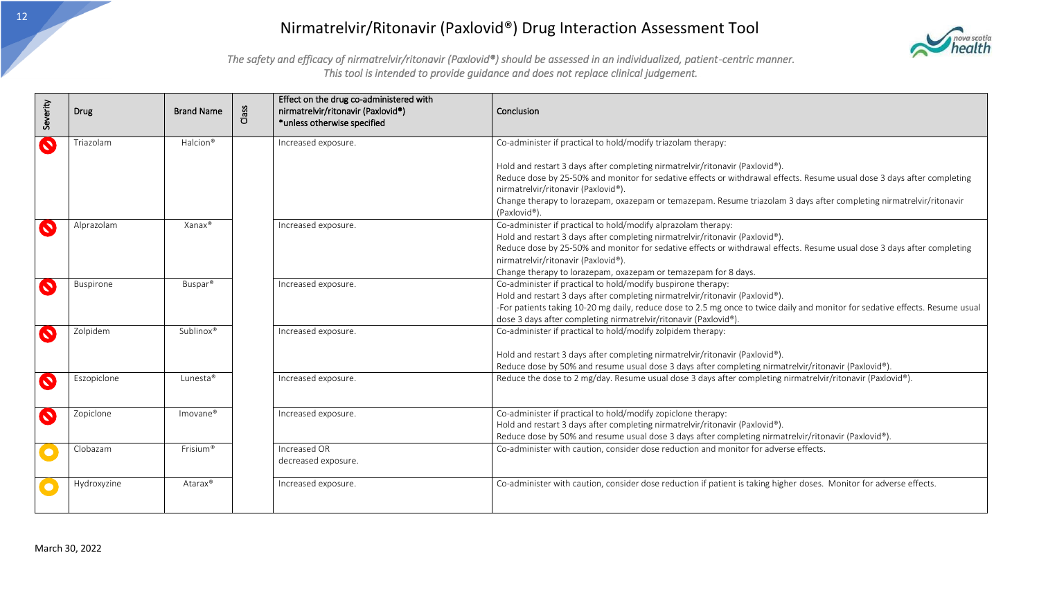

| Severity  | Drug        | <b>Brand Name</b>    | Class | Effect on the drug co-administered with<br>nirmatrelvir/ritonavir (Paxlovid®)<br>*unless otherwise specified | Conclusion                                                                                                                                                                                                                                                                                                                                                                                        |
|-----------|-------------|----------------------|-------|--------------------------------------------------------------------------------------------------------------|---------------------------------------------------------------------------------------------------------------------------------------------------------------------------------------------------------------------------------------------------------------------------------------------------------------------------------------------------------------------------------------------------|
| $\bullet$ | Triazolam   | Halcion <sup>®</sup> |       | Increased exposure.                                                                                          | Co-administer if practical to hold/modify triazolam therapy:                                                                                                                                                                                                                                                                                                                                      |
|           |             |                      |       |                                                                                                              | Hold and restart 3 days after completing nirmatrelvir/ritonavir (Paxlovid®).<br>Reduce dose by 25-50% and monitor for sedative effects or withdrawal effects. Resume usual dose 3 days after completing<br>nirmatrelvir/ritonavir (Paxlovid®).<br>Change therapy to lorazepam, oxazepam or temazepam. Resume triazolam 3 days after completing nirmatrelvir/ritonavir                             |
| $\bullet$ | Alprazolam  | Xanax®               |       | Increased exposure.                                                                                          | (Paxlovid®).<br>Co-administer if practical to hold/modify alprazolam therapy:<br>Hold and restart 3 days after completing nirmatrelvir/ritonavir (Paxlovid®).<br>Reduce dose by 25-50% and monitor for sedative effects or withdrawal effects. Resume usual dose 3 days after completing<br>nirmatrelvir/ritonavir (Paxlovid®).<br>Change therapy to lorazepam, oxazepam or temazepam for 8 days. |
| $\bullet$ | Buspirone   | Buspar <sup>®</sup>  |       | Increased exposure.                                                                                          | Co-administer if practical to hold/modify buspirone therapy:<br>Hold and restart 3 days after completing nirmatrelvir/ritonavir (Paxlovid®).<br>-For patients taking 10-20 mg daily, reduce dose to 2.5 mg once to twice daily and monitor for sedative effects. Resume usual<br>dose 3 days after completing nirmatrelvir/ritonavir (Paxlovid®).                                                 |
| $\bullet$ | Zolpidem    | Sublinox®            |       | Increased exposure.                                                                                          | Co-administer if practical to hold/modify zolpidem therapy:<br>Hold and restart 3 days after completing nirmatrelvir/ritonavir (Paxlovid®).<br>Reduce dose by 50% and resume usual dose 3 days after completing nirmatrelvir/ritonavir (Paxlovid®).                                                                                                                                               |
| $\bullet$ | Eszopiclone | Lunesta <sup>®</sup> |       | Increased exposure.                                                                                          | Reduce the dose to 2 mg/day. Resume usual dose 3 days after completing nirmatrelvir/ritonavir (Paxlovid®).                                                                                                                                                                                                                                                                                        |
| $\bullet$ | Zopiclone   | $Imovane^*$          |       | Increased exposure.                                                                                          | Co-administer if practical to hold/modify zopiclone therapy:<br>Hold and restart 3 days after completing nirmatrelvir/ritonavir (Paxlovid®).<br>Reduce dose by 50% and resume usual dose 3 days after completing nirmatrelvir/ritonavir (Paxlovid®).                                                                                                                                              |
| $\bullet$ | Clobazam    | Frisium <sup>®</sup> |       | Increased OR<br>decreased exposure.                                                                          | Co-administer with caution, consider dose reduction and monitor for adverse effects.                                                                                                                                                                                                                                                                                                              |
|           | Hydroxyzine | Atarax <sup>®</sup>  |       | Increased exposure.                                                                                          | Co-administer with caution, consider dose reduction if patient is taking higher doses. Monitor for adverse effects.                                                                                                                                                                                                                                                                               |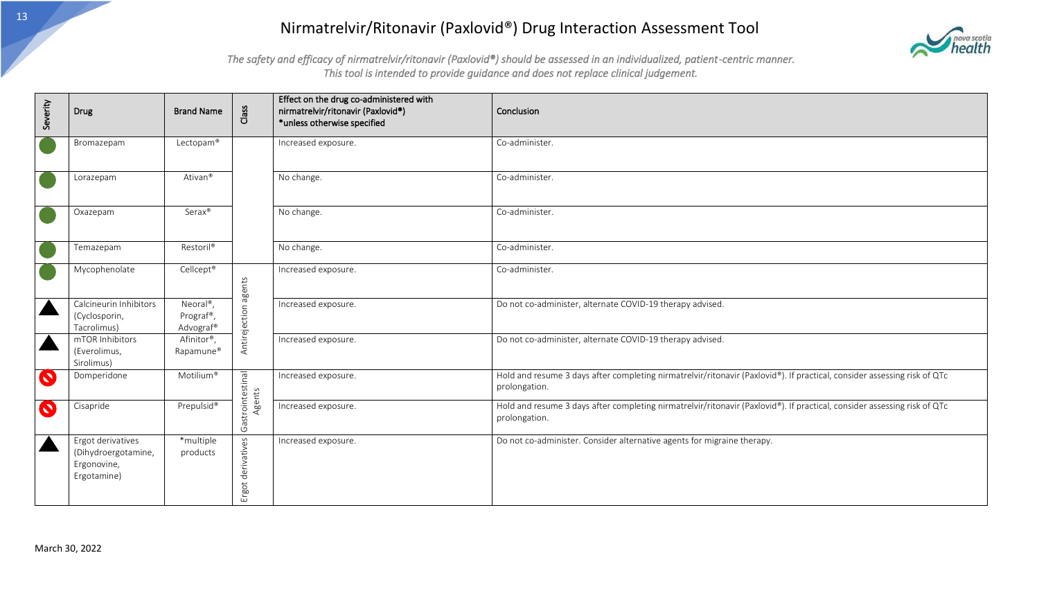

| Severity  | Drug                                                                   | <b>Brand Name</b>                                            | Class                      | Effect on the drug co-administered with<br>nirmatrelvir/ritonavir (Paxlovid®)<br>*unless otherwise specified | Conclusion                                                                                                                                |
|-----------|------------------------------------------------------------------------|--------------------------------------------------------------|----------------------------|--------------------------------------------------------------------------------------------------------------|-------------------------------------------------------------------------------------------------------------------------------------------|
|           | Bromazepam                                                             | Lectopam®                                                    |                            | Increased exposure.                                                                                          | Co-administer.                                                                                                                            |
|           | Lorazepam                                                              | Ativan <sup>®</sup>                                          |                            | No change.                                                                                                   | Co-administer.                                                                                                                            |
|           | Oxazepam                                                               | Serax®                                                       |                            | No change.                                                                                                   | Co-administer.                                                                                                                            |
|           | Temazepam                                                              | Restoril®                                                    |                            | No change.                                                                                                   | Co-administer.                                                                                                                            |
|           | Mycophenolate                                                          | Cellcept®                                                    |                            | Increased exposure.                                                                                          | Co-administer.                                                                                                                            |
|           | Calcineurin Inhibitors<br>(Cyclosporin,<br>Tacrolimus)                 | Neoral <sup>®</sup> ,<br>Prograf <sup>®</sup> ,<br>Advograf® | Antirejection agents       | Increased exposure.                                                                                          | Do not co-administer, alternate COVID-19 therapy advised.                                                                                 |
|           | mTOR Inhibitors<br>(Everolimus,<br>Sirolimus)                          | Afinitor®,<br>Rapamune®                                      |                            | Increased exposure.                                                                                          | Do not co-administer, alternate COVID-19 therapy advised.                                                                                 |
| $\bullet$ | Domperidone                                                            | Motilium®                                                    |                            | Increased exposure.                                                                                          | Hold and resume 3 days after completing nirmatrelvir/ritonavir (Paxlovid®). If practical, consider assessing risk of QTc<br>prolongation. |
| $\bullet$ | Cisapride                                                              | Prepulsid®                                                   | Gastrointestinal<br>Agents | Increased exposure.                                                                                          | Hold and resume 3 days after completing nirmatrelvir/ritonavir (Paxlovid®). If practical, consider assessing risk of QTc<br>prolongation. |
|           | Ergot derivatives<br>(Dihydroergotamine,<br>Ergonovine,<br>Ergotamine) | *multiple<br>products                                        | derivatives<br>Ergot       | Increased exposure.                                                                                          | Do not co-administer. Consider alternative agents for migraine therapy.                                                                   |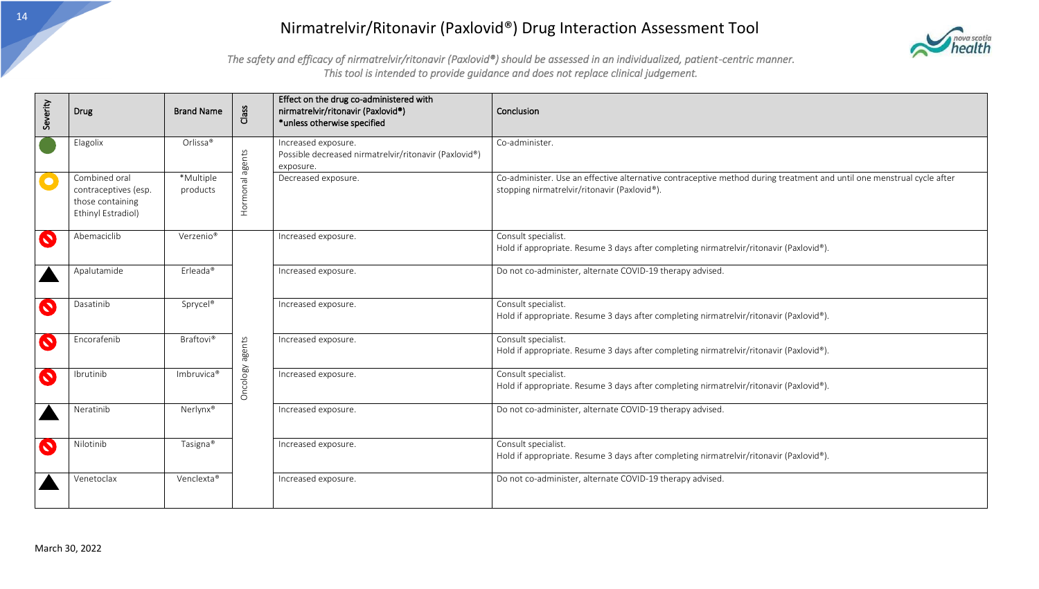

| Severity  | Drug                                                                            | <b>Brand Name</b>      | Class    | Effect on the drug co-administered with<br>nirmatrelvir/ritonavir (Paxlovid®)<br>*unless otherwise specified | Conclusion                                                                                                                                                            |
|-----------|---------------------------------------------------------------------------------|------------------------|----------|--------------------------------------------------------------------------------------------------------------|-----------------------------------------------------------------------------------------------------------------------------------------------------------------------|
|           | Elagolix                                                                        | Orlissa®               | agents   | Increased exposure.<br>Possible decreased nirmatrelvir/ritonavir (Paxlovid®)<br>exposure.                    | Co-administer.                                                                                                                                                        |
| $\bullet$ | Combined oral<br>contraceptives (esp.<br>those containing<br>Ethinyl Estradiol) | *Multiple<br>products  | Hormonal | Decreased exposure.                                                                                          | Co-administer. Use an effective alternative contraceptive method during treatment and until one menstrual cycle after<br>stopping nirmatrelvir/ritonavir (Paxlovid®). |
| $\bullet$ | Abemaciclib                                                                     | Verzenio <sup>®</sup>  |          | Increased exposure.                                                                                          | Consult specialist.<br>Hold if appropriate. Resume 3 days after completing nirmatrelvir/ritonavir (Paxlovid®).                                                        |
|           | Apalutamide                                                                     | Erleada®               |          | Increased exposure.                                                                                          | Do not co-administer, alternate COVID-19 therapy advised.                                                                                                             |
| $\bullet$ | Dasatinib                                                                       | Sprycel®               |          | Increased exposure.                                                                                          | Consult specialist.<br>Hold if appropriate. Resume 3 days after completing nirmatrelvir/ritonavir (Paxlovid®).                                                        |
| $\bullet$ | Encorafenib                                                                     | <b>Braftovi®</b>       | agents   | Increased exposure.                                                                                          | Consult specialist.<br>Hold if appropriate. Resume 3 days after completing nirmatrelvir/ritonavir (Paxlovid®).                                                        |
| $\bullet$ | Ibrutinib                                                                       | Imbruvica <sup>®</sup> | Oncology | Increased exposure.                                                                                          | Consult specialist.<br>Hold if appropriate. Resume 3 days after completing nirmatrelvir/ritonavir (Paxlovid®).                                                        |
|           | Neratinib                                                                       | Nerlynx®               |          | Increased exposure.                                                                                          | Do not co-administer, alternate COVID-19 therapy advised.                                                                                                             |
| $\bullet$ | Nilotinib                                                                       | Tasigna <sup>®</sup>   |          | Increased exposure.                                                                                          | Consult specialist.<br>Hold if appropriate. Resume 3 days after completing nirmatrelvir/ritonavir (Paxlovid®).                                                        |
|           | Venetoclax                                                                      | Venclexta®             |          | Increased exposure.                                                                                          | Do not co-administer, alternate COVID-19 therapy advised.                                                                                                             |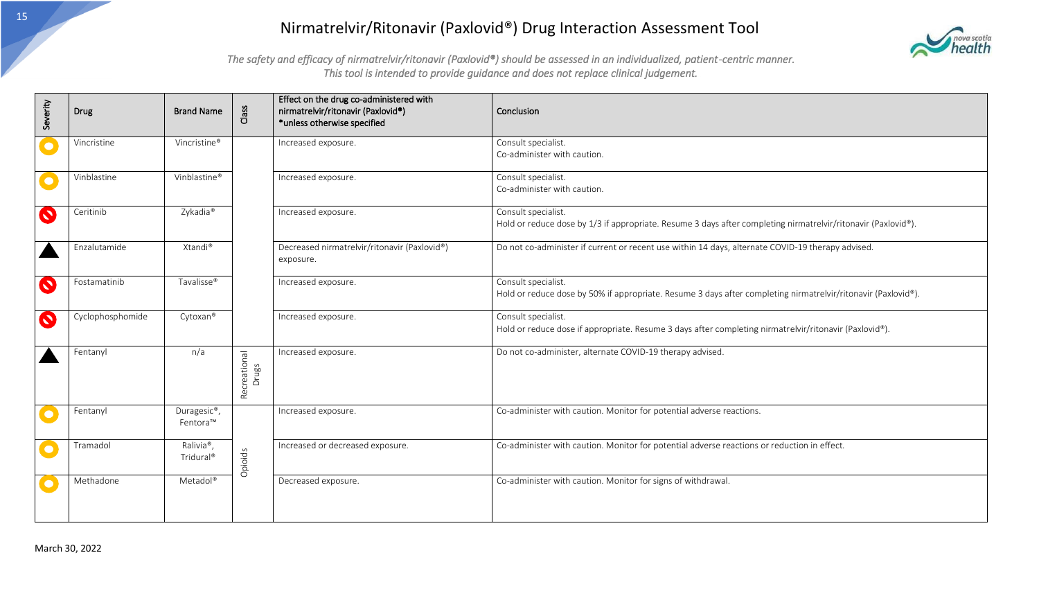

| Severity  | Drug             | <b>Brand Name</b>                               | Class                 | Effect on the drug co-administered with<br>nirmatrelvir/ritonavir (Paxlovid®)<br>*unless otherwise specified | Conclusion                                                                                                                           |
|-----------|------------------|-------------------------------------------------|-----------------------|--------------------------------------------------------------------------------------------------------------|--------------------------------------------------------------------------------------------------------------------------------------|
| $\bullet$ | Vincristine      | Vincristine <sup>®</sup>                        |                       | Increased exposure.                                                                                          | Consult specialist.<br>Co-administer with caution.                                                                                   |
| $\bullet$ | Vinblastine      | Vinblastine®                                    |                       | Increased exposure.                                                                                          | Consult specialist.<br>Co-administer with caution.                                                                                   |
| $\bullet$ | Ceritinib        | Zykadia®                                        |                       | Increased exposure.                                                                                          | Consult specialist.<br>Hold or reduce dose by 1/3 if appropriate. Resume 3 days after completing nirmatrelvir/ritonavir (Paxlovid®). |
|           | Enzalutamide     | Xtandi®                                         |                       | Decreased nirmatrelvir/ritonavir (Paxlovid®)<br>exposure.                                                    | Do not co-administer if current or recent use within 14 days, alternate COVID-19 therapy advised.                                    |
| $\bullet$ | Fostamatinib     | Tavalisse <sup>®</sup>                          |                       | Increased exposure.                                                                                          | Consult specialist.<br>Hold or reduce dose by 50% if appropriate. Resume 3 days after completing nirmatrelvir/ritonavir (Paxlovid®). |
| $\bullet$ | Cyclophosphomide | Cytoxan®                                        |                       | Increased exposure.                                                                                          | Consult specialist.<br>Hold or reduce dose if appropriate. Resume 3 days after completing nirmatrelvir/ritonavir (Paxlovid®).        |
|           | Fentanyl         | n/a                                             | Recreational<br>Drugs | Increased exposure.                                                                                          | Do not co-administer, alternate COVID-19 therapy advised.                                                                            |
| $\bullet$ | Fentanyl         | Duragesic <sup>®</sup> ,<br>Fentora™            | Opioids               | Increased exposure.                                                                                          | Co-administer with caution. Monitor for potential adverse reactions.                                                                 |
| $\bullet$ | Tramadol         | Ralivia <sup>®</sup> ,<br>Tridural <sup>®</sup> |                       | Increased or decreased exposure.                                                                             | Co-administer with caution. Monitor for potential adverse reactions or reduction in effect.                                          |
| $\bullet$ | Methadone        | Metadol®                                        |                       | Decreased exposure.                                                                                          | Co-administer with caution. Monitor for signs of withdrawal.                                                                         |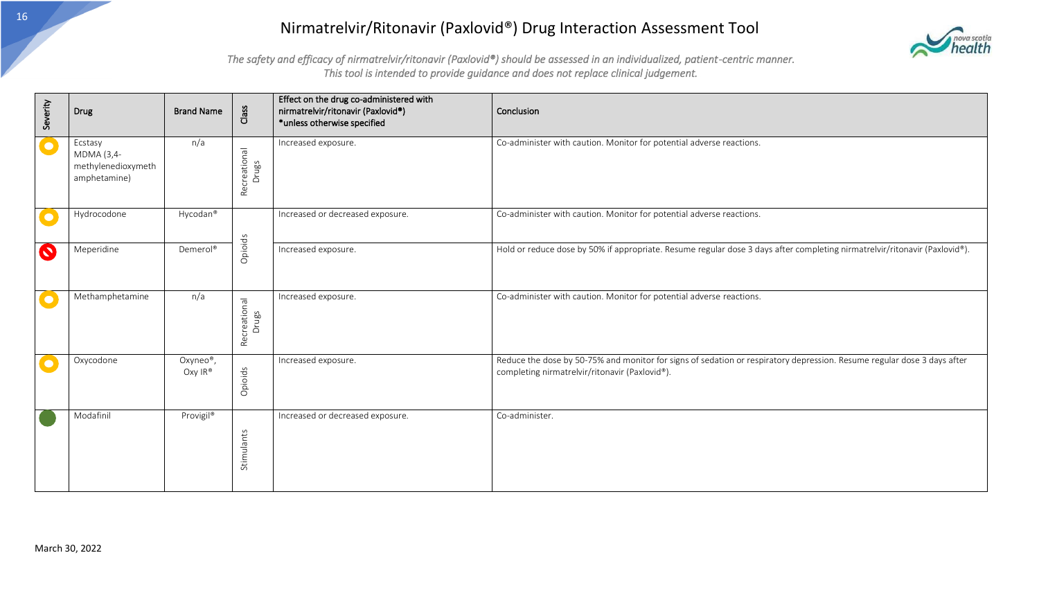

| Severity              | <b>Drug</b>                                                 | <b>Brand Name</b>                | Class                 | Effect on the drug co-administered with<br>nirmatrelvir/ritonavir (Paxlovid®)<br>*unless otherwise specified | Conclusion                                                                                                                                                                |
|-----------------------|-------------------------------------------------------------|----------------------------------|-----------------------|--------------------------------------------------------------------------------------------------------------|---------------------------------------------------------------------------------------------------------------------------------------------------------------------------|
| $\bullet$             | Ecstasy<br>MDMA (3,4-<br>methylenedioxymeth<br>amphetamine) | n/a                              | Recreational<br>Drugs | Increased exposure.                                                                                          | Co-administer with caution. Monitor for potential adverse reactions.                                                                                                      |
|                       | Hydrocodone                                                 | Hycodan®                         |                       | Increased or decreased exposure.                                                                             | Co-administer with caution. Monitor for potential adverse reactions.                                                                                                      |
| $\boldsymbol{\Omega}$ | Meperidine                                                  | Demerol <sup>®</sup>             | Opioids               | Increased exposure.                                                                                          | Hold or reduce dose by 50% if appropriate. Resume regular dose 3 days after completing nirmatrelvir/ritonavir (Paxlovid®).                                                |
|                       | Methamphetamine                                             | n/a                              | Recreational<br>Drugs | Increased exposure.                                                                                          | Co-administer with caution. Monitor for potential adverse reactions.                                                                                                      |
|                       | Oxycodone                                                   | Oxyneo <sup>®</sup> ,<br>Oxy IR® | Opioids               | Increased exposure.                                                                                          | Reduce the dose by 50-75% and monitor for signs of sedation or respiratory depression. Resume regular dose 3 days after<br>completing nirmatrelvir/ritonavir (Paxlovid®). |
|                       | Modafinil                                                   | Provigil®                        | Stimulants            | Increased or decreased exposure.                                                                             | Co-administer.                                                                                                                                                            |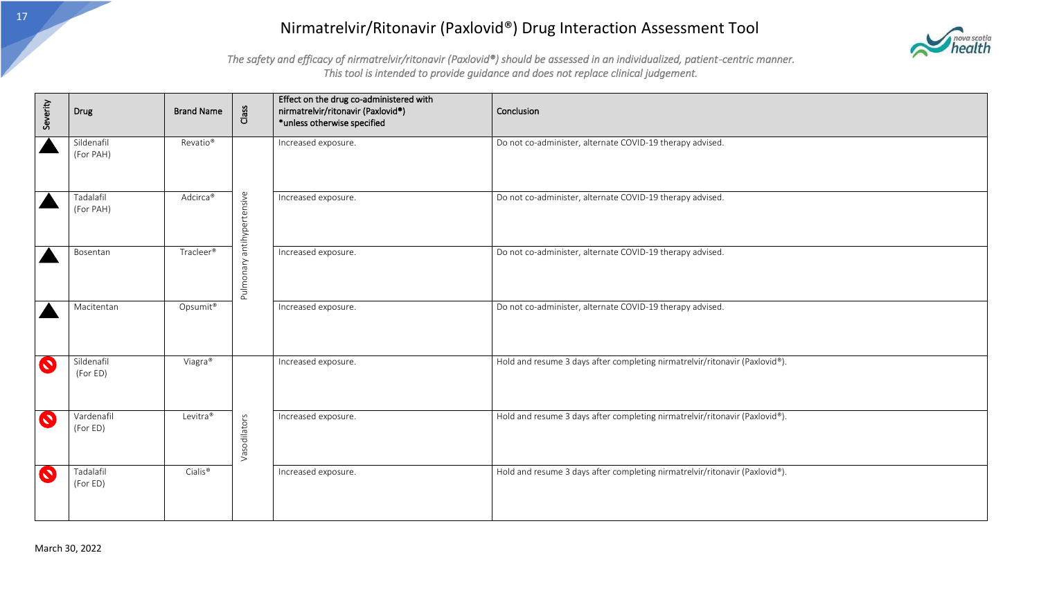

| Severity              | Drug                    | <b>Brand Name</b>    | Class                      | Effect on the drug co-administered with<br>nirmatrelvir/ritonavir (Paxlovid®)<br>*unless otherwise specified | Conclusion                                                                  |
|-----------------------|-------------------------|----------------------|----------------------------|--------------------------------------------------------------------------------------------------------------|-----------------------------------------------------------------------------|
|                       | Sildenafil<br>(For PAH) | Revatio <sup>®</sup> |                            | Increased exposure.                                                                                          | Do not co-administer, alternate COVID-19 therapy advised.                   |
|                       | Tadalafil<br>(For PAH)  | Adcirca®             |                            | Increased exposure.                                                                                          | Do not co-administer, alternate COVID-19 therapy advised.                   |
|                       | Bosentan                | Tracleer®            | Pulmonary antihypertensive | Increased exposure.                                                                                          | Do not co-administer, alternate COVID-19 therapy advised.                   |
|                       | Macitentan              | Opsumit®             |                            | Increased exposure.                                                                                          | Do not co-administer, alternate COVID-19 therapy advised.                   |
| $\mathbf Q$           | Sildenafil<br>(For ED)  | Viagra®              |                            | Increased exposure.                                                                                          | Hold and resume 3 days after completing nirmatrelvir/ritonavir (Paxlovid®). |
| $\boldsymbol{\Omega}$ | Vardenafil<br>(For ED)  | Levitra®             | Vasodilators               | Increased exposure.                                                                                          | Hold and resume 3 days after completing nirmatrelvir/ritonavir (Paxlovid®). |
| $\mathbf Q$           | Tadalafil<br>(For ED)   | Cialis <sup>®</sup>  |                            | Increased exposure.                                                                                          | Hold and resume 3 days after completing nirmatrelvir/ritonavir (Paxlovid®). |